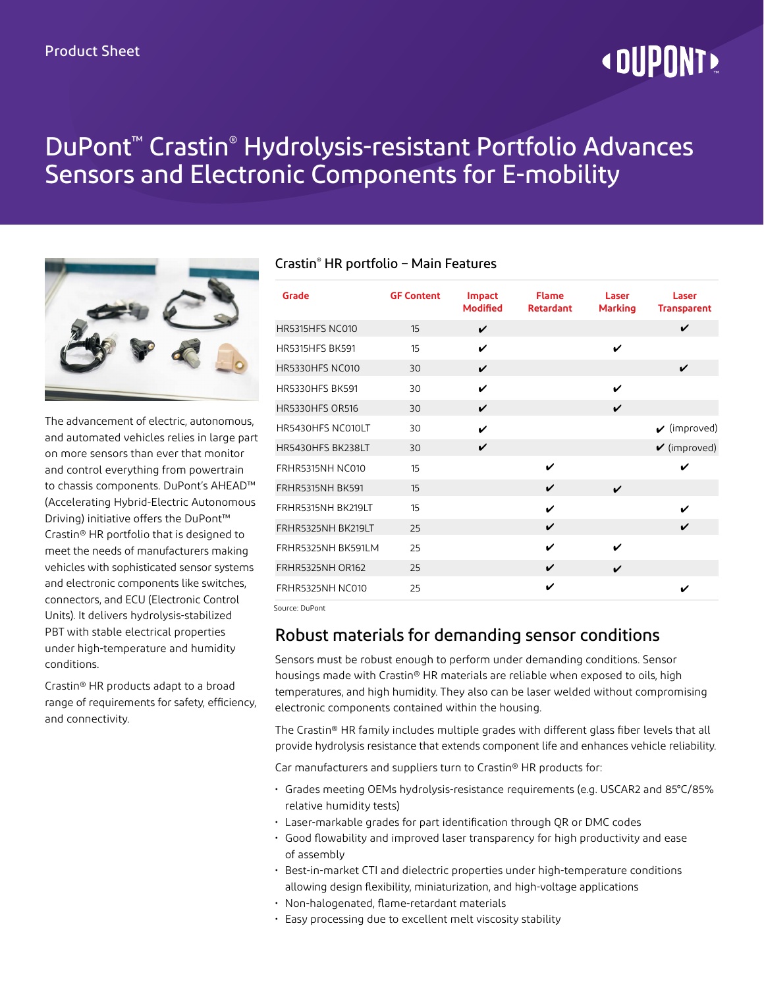# **« DUPONT!**

## DuPont™ Crastin® Hydrolysis-resistant Portfolio Advances Sensors and Electronic Components for E-mobility



The advancement of electric, autonomous, and automated vehicles relies in large part on more sensors than ever that monitor and control everything from powertrain to chassis components. DuPont's AHEAD™ (Accelerating Hybrid-Electric Autonomous Driving) initiative offers the DuPont™ Crastin® HR portfolio that is designed to meet the needs of manufacturers making vehicles with sophisticated sensor systems and electronic components like switches, connectors, and ECU (Electronic Control Units). It delivers hydrolysis-stabilized PBT with stable electrical properties under high-temperature and humidity conditions.

Crastin® HR products adapt to a broad range of requirements for safety, efficiency, and connectivity.

### Crastin® HR portfolio – Main Features

| Grade                   | <b>GF Content</b> | <b>Impact</b><br>Modified | <b>Flame</b><br><b>Retardant</b> | Laser<br><b>Marking</b> | Laser<br><b>Transparent</b>     |
|-------------------------|-------------------|---------------------------|----------------------------------|-------------------------|---------------------------------|
| HR5315HFS NC010         | 15                | ✓                         |                                  |                         | ✓                               |
| <b>HR5315HFS BK591</b>  | 15                | ✓                         |                                  | ✓                       |                                 |
| <b>HR5330HFS NC010</b>  | 30                | $\checkmark$              |                                  |                         | V                               |
| <b>HR5330HFS BK591</b>  | 30                | ✓                         |                                  | ✓                       |                                 |
| <b>HR5330HFS OR516</b>  | 30                | ✓                         |                                  | V                       |                                 |
| HR5430HFS NC010LT       | 30                | V                         |                                  |                         | $\boldsymbol{\nu}$ (improved)   |
| HR5430HFS BK238LT       | 30                | ✓                         |                                  |                         | $\mathbf{\check{v}}$ (improved) |
| FRHR5315NH NC010        | 15                |                           | V                                |                         | ✓                               |
| <b>FRHR5315NH BK591</b> | 15                |                           | V                                | ✓                       |                                 |
| FRHR5315NH BK219LT      | 15                |                           | V                                |                         | ✓                               |
| FRHR5325NH BK219LT      | 25                |                           | V                                |                         | ✓                               |
| FRHR5325NH BK591LM      | 25                |                           | ✓                                | ✓                       |                                 |
| <b>FRHR5325NH OR162</b> | 25                |                           | V                                | ✓                       |                                 |
| <b>FRHR5325NH NC010</b> | 25                |                           | V                                |                         | ✓                               |

Source: DuPont

## Robust materials for demanding sensor conditions

Sensors must be robust enough to perform under demanding conditions. Sensor housings made with Crastin® HR materials are reliable when exposed to oils, high temperatures, and high humidity. They also can be laser welded without compromising electronic components contained within the housing.

The Crastin® HR family includes multiple grades with different glass fiber levels that all provide hydrolysis resistance that extends component life and enhances vehicle reliability.

Car manufacturers and suppliers turn to Crastin® HR products for:

- Grades meeting OEMs hydrolysis-resistance requirements (e.g. USCAR2 and 85°C/85% relative humidity tests)
- Laser-markable grades for part identification through QR or DMC codes
- Good flowability and improved laser transparency for high productivity and ease of assembly
- Best-in-market CTI and dielectric properties under high-temperature conditions allowing design flexibility, miniaturization, and high-voltage applications
- Non-halogenated, flame-retardant materials
- Easy processing due to excellent melt viscosity stability